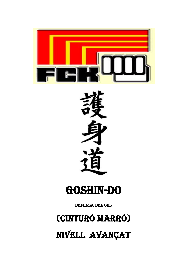

# **GOSHIN-DO**

**DEFENSA DEL COS** 

(CINTURÓ MARRÓ)

NIVELL AVANÇAT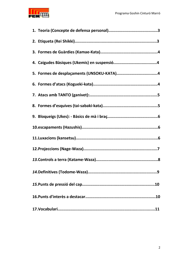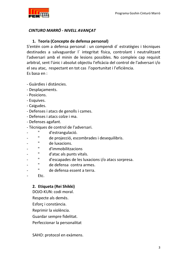

## CINTURO MARRÓ - NIVELL AVANÇAT

### 1. Teoria (Concepte de defensa personal)

S'entén com a defensa personal : un compendi d'estratègies i tècniques destinades a salvaguardar l'integritat física, controlant i neutralitzant l'adversari amb el minin de lesions possibles. No compleix cap requisit arbitral, sent l'únic i absolut objectiu l'eficàcia del control de l'adversari i/o el seu atac, respectant en tot cas l'oportunitat i l'eficiència.  $Fs$  basa en :

- Guàrdies i distàncies.
- Desplaçaments.
- Posicions.
- Esauives.
- Caigudes.
- Defenses i atacs de genolls i cames.
- Defenses i atacs colze i ma.
- Defenses agafant.
- Tècniques de control de l'adversari.
- " d'estrangulació.
- " de projecció, escombrades i desequilibris.
- " de luxacions.
- " d'immobilitzacions
- " d'atac als punts vitals.
- $"$  d'escapades de les luxacions i/o atacs sorpresa.
- " de defensa contra armes.
- " de defensa essent a terra.
- $Etc.$

#### 2. Etiqueta (Rei Shikki)

DOJO-KUN: codi moral.

- Respecte als demés.
- Esforç i constància.
- Reprimir la violència.
- Guardar sempre fidelitat.
- Perfeccionar la personalitat

SAHO: protocol en exàmens.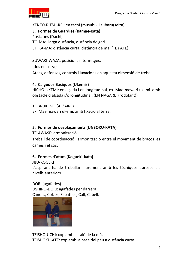

KENTO-RITSU-REI: en tachi (musubi) i subaru(seiza) 3. Formes de Guàrdies (Kamae-Kata) Posicions (Dachi) TO-MA: llarga distància, distància de geri. CHIKA-MA: distància curta, distància de mà, (TE i ATE).

SUWARI-WAZA: posicions intermitges.

(dos en seiza) Atacs, defenses, controls i luxacions en aquesta dimensió de treball.

## 4. Caigudes Bàsiques (Ukemis)

HICHO-UKEMI; en alçada i en longitudinal, ex. Mae-mawari ukemi amb obstacle d'alçada i/o longitudinal. (EN NAGARE, (rodolant))

TOBI-UKEMI. (A L'AIRE) Ex. Mae mawari ukemi, amb fixació al terra.

# 5. Formes de desplaçaments (UNSOKU-KATA)

TF-AWASE: armonització.

Treball de coordinacció i armonització entre el moviment de braços les cames i el cos.

## 6. Formes d'atacs (Kogueki-kata)

**JIJU-KOGEKI** 

L'aspirant ha de treballar lliurement amb les tècniques apreses als nivells anteriors.

DORI (agafades) USHIRO-DORI: agafades per darrera. Canells, Colzes, Espatlles, Coll, Cabell.



TEISHO-UCHI: cop amb el taló de la mà. TEISHOKU-ATE: cop amb la base del peu a distància curta.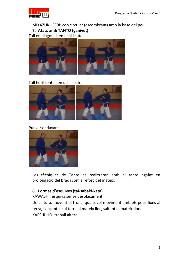

MIKAZUKI-GERI: cop circular (escombrant) amb la base del peu.

7. Atacs amb TANTO (ganivet)

Tall en diagonal, en uchi i soto



Tall horitzontal, en uchi i soto.



#### Punxar endavant.



Les tècniques de Tanto es realitzaran amb el tanto agafat en prolongació del braç i com a reforç del mateix.

## 8. Formes d'esquives (tai-sabaki-kata)

KAWASHI: esquiva sense desplaçament.

De cintura, movent el tronc, qualsevol moviment amb els peus fixes al terra, llançant-se al terra al mateix lloc, saltant al mateix lloc. KAESHI-HO: treball altern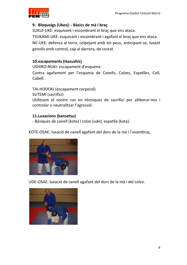

## 9. Bloqueigs (Ukes): - Bàsics de mà i braç

SUKUI-UKE: esquivant i escombrant el braç que ens ataca. TSUKAMI-UKE: esquivant i escombrant i agafant el braç que ens ataca. NE-UKE: defensa al terra, colpejant amb els peus, anticipant-se, luxant genolls amb control, cap al darrera, de costat.

## 10.escapaments (Hazushis)

USHIRO-NUKI: escapament d'esquena.

Contra agafament per l'esquena de Canells, Colzes, Espatlles, Coll, Cabell.

TAI-HODOKI (escapament corporal)

SUTEMI (sacrifici)

Utilitzant el nostre cos en tècniques de sacrifici per alliberar-nos i controlar o neutralitzar l'agressió.

## 11. Luxacions (kansetsu)

- Bàsiques de canell (kote) i colze (ude), espatlla (kata).

KOTE-OSAE: luxació de canell agafant del dors de la mà i l'avantbraç.



UDE-OSAE: luxació de canell agafant del dors de la mà i del colze.

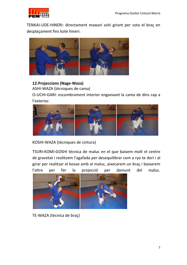

TENKAI-UDE-HINERI: directament mawari ashi girant per sota el braç en desplaçament fins kote hineri.



#### 12. Projeccions (Nage-Waza)

ASHI-WAZA (tècniques de cama)

O-UCHI-GARI: escombrament interior enganxant la cama de dins cap a l'exterior.



KOSHI-WAZA (tècniques de cintura)

TSURI-KOMI-GOSHI tècnica de maluc en el que baixem molt el centre de gravetat i realitzem l'agafada per desequilibrar com a ryo te dori i al girar per realitzar el kosae amb al maluc, aixecarem un braç i baixarem l'altre per fer la projecció per damunt del maluc.



TE-WAZA (tècnica de braç)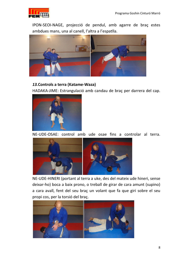

IPON-SEOI-NAGE, projecció de pendul, amb agarre de braç estes ambdues mans, una al canell, l'altra a l'espatlla.



#### 13. Controls a terra (Katame-Waza)

HADAKA-JIME: Estrangulació amb candau de braç per darrera del cap.



NE-UDE-OSAE: control amb ude osae fins a controlar al terra.



NE-UDE-HINERI (portant al terra a uke, des del mateix ude hineri, sense deixar-ho) boca a baix prono, o treball de girar de cara amunt (supino) a cara avall, fent del seu braç un volant que fa que giri sobre el seu propi cos, per la torsió del braç.

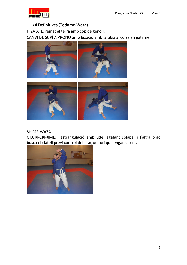

#### 14. Definitives (Todome-Waza)

HIZA ATE: remat al terra amb cop de genoll.

CANVI DE SUPÍ A PRONO amb luxació amb la tíbia al colze en gatame.





#### SHIME-WAZA

OKURI-ERI-JIME: estrangulació amb ude, agafant solapa, i l'altra braç busca el clatell previ control del braç de tori que enganxarem.

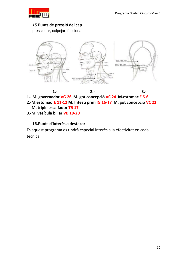$3 -$ 



#### 15. Punts de pressió del cap

pressionar, colpejar, friccionar



 $1. -$ 

 $2. -$ 

- 1.- M. governador VG 26 M. got concepció VC 24 M. estómac E 5-6
- 2.-M. estómac E 11-12 M. Intestí prim IG 16-17 M. got concepció VC 22
	- M. triple escalfador TR 17
- 3.-M. vesícula biliar VB 19-20

#### 16. Punts d'interès a destacar

Es aquest programa es tindrà especial interès a la efectivitat en cada tècnica.